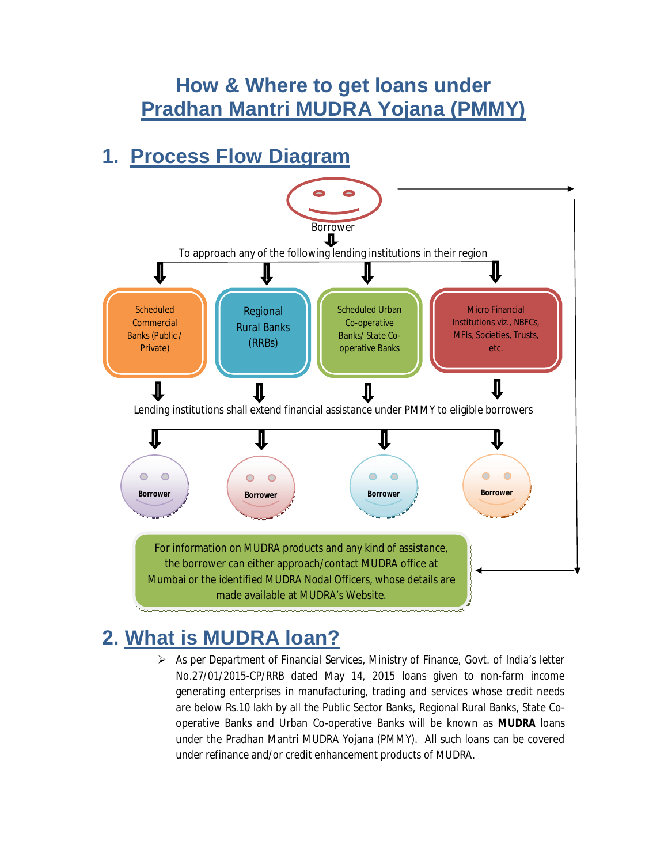### **How & Where to get loans under Pradhan Mantri MUDRA Yojana (PMMY)**

## **1. Process Flow Diagram**



# **2. What is MUDRA loan?**

 As per Department of Financial Services, Ministry of Finance, Govt. of India's letter No.27/01/2015-CP/RRB dated May 14, 2015 loans given to non-farm income generating enterprises in manufacturing, trading and services whose credit needs are below Rs.10 lakh by all the Public Sector Banks, Regional Rural Banks, State Cooperative Banks and Urban Co-operative Banks will be known as **MUDRA** loans under the Pradhan Mantri MUDRA Yojana (PMMY). All such loans can be covered under refinance and/or credit enhancement products of MUDRA.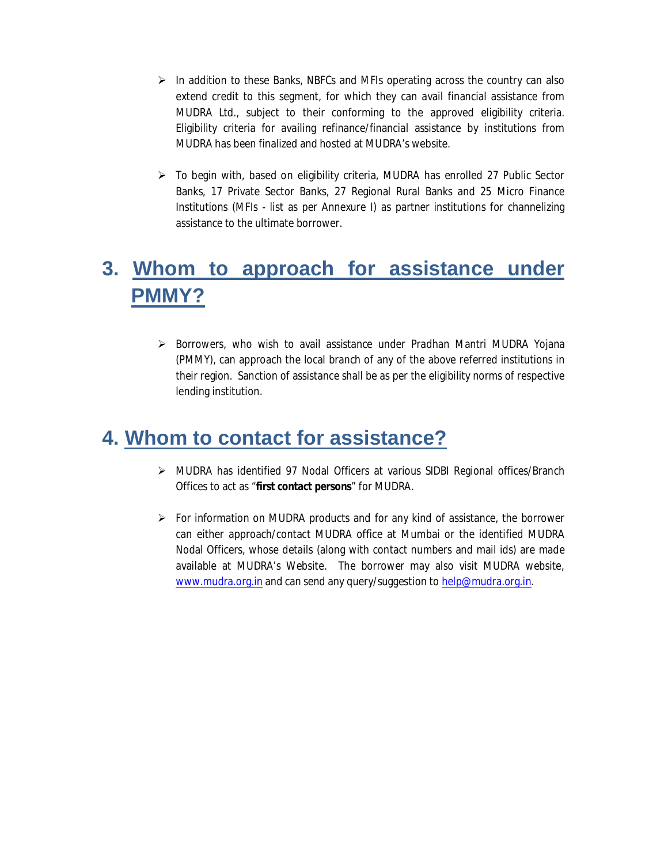- $\triangleright$  In addition to these Banks, NBFCs and MFIs operating across the country can also extend credit to this segment, for which they can avail financial assistance from MUDRA Ltd., subject to their conforming to the approved eligibility criteria. Eligibility criteria for availing refinance/financial assistance by institutions from MUDRA has been finalized and hosted at MUDRA's website.
- $\triangleright$  To begin with, based on eligibility criteria, MUDRA has enrolled 27 Public Sector Banks, 17 Private Sector Banks, 27 Regional Rural Banks and 25 Micro Finance Institutions (MFIs - list as per Annexure I) as partner institutions for channelizing assistance to the ultimate borrower.

# **3. Whom to approach for assistance under PMMY?**

 $\triangleright$  Borrowers, who wish to avail assistance under Pradhan Mantri MUDRA Yojana (PMMY), can approach the local branch of any of the above referred institutions in their region. Sanction of assistance shall be as per the eligibility norms of respective lending institution.

### **4. Whom to contact for assistance?**

- MUDRA has identified 97 Nodal Officers at various SIDBI Regional offices/Branch Offices to act as "**first contact persons**" for MUDRA.
- $\triangleright$  For information on MUDRA products and for any kind of assistance, the borrower can either approach/contact MUDRA office at Mumbai or the identified MUDRA Nodal Officers, whose details (along with contact numbers and mail ids) are made available at MUDRA's Website. The borrower may also visit MUDRA website, www.mudra.org.in and can send any query/suggestion to help@mudra.org.in.